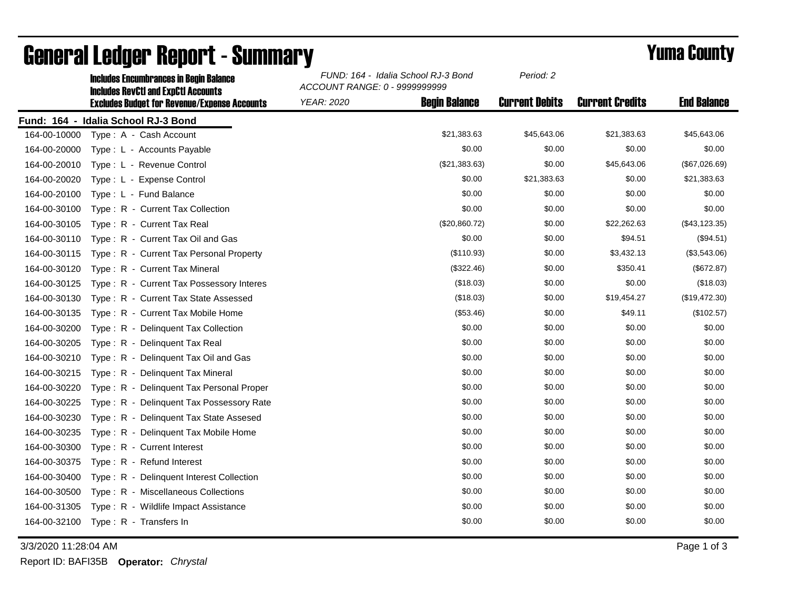|              | <b>Includes Encumbrances in Begin Balance</b><br><b>Includes RevCtI and ExpCtI Accounts</b> | FUND: 164 - Idalia School RJ-3 Bond<br>ACCOUNT RANGE: 0 - 9999999999 |                      | Period: 2             |                        |                    |
|--------------|---------------------------------------------------------------------------------------------|----------------------------------------------------------------------|----------------------|-----------------------|------------------------|--------------------|
|              | <b>Excludes Budget for Revenue/Expense Accounts</b>                                         | <b>YEAR: 2020</b>                                                    | <b>Begin Balance</b> | <b>Current Debits</b> | <b>Current Credits</b> | <b>End Balance</b> |
|              | Fund: 164 - Idalia School RJ-3 Bond                                                         |                                                                      |                      |                       |                        |                    |
| 164-00-10000 | Type: A - Cash Account                                                                      |                                                                      | \$21,383.63          | \$45,643.06           | \$21,383.63            | \$45,643.06        |
| 164-00-20000 | Type: L - Accounts Payable                                                                  |                                                                      | \$0.00               | \$0.00                | \$0.00                 | \$0.00             |
| 164-00-20010 | Type: L - Revenue Control                                                                   |                                                                      | (\$21,383.63)        | \$0.00                | \$45,643.06            | (\$67,026.69)      |
| 164-00-20020 | Type: L - Expense Control                                                                   |                                                                      | \$0.00               | \$21,383.63           | \$0.00                 | \$21,383.63        |
| 164-00-20100 | Type: L - Fund Balance                                                                      |                                                                      | \$0.00               | \$0.00                | \$0.00                 | \$0.00             |
| 164-00-30100 | Type: R - Current Tax Collection                                                            |                                                                      | \$0.00               | \$0.00                | \$0.00                 | \$0.00             |
| 164-00-30105 | Type: R - Current Tax Real                                                                  |                                                                      | (\$20,860.72)        | \$0.00                | \$22,262.63            | (\$43, 123.35)     |
| 164-00-30110 | Type: R - Current Tax Oil and Gas                                                           |                                                                      | \$0.00               | \$0.00                | \$94.51                | (\$94.51)          |
| 164-00-30115 | Type: R - Current Tax Personal Property                                                     |                                                                      | (\$110.93)           | \$0.00                | \$3,432.13             | (\$3,543.06)       |
| 164-00-30120 | Type: R - Current Tax Mineral                                                               |                                                                      | (\$322.46)           | \$0.00                | \$350.41               | (\$672.87)         |
| 164-00-30125 | Type: R - Current Tax Possessory Interes                                                    |                                                                      | (\$18.03)            | \$0.00                | \$0.00                 | (\$18.03)          |
| 164-00-30130 | Type: R - Current Tax State Assessed                                                        |                                                                      | (\$18.03)            | \$0.00                | \$19,454.27            | (\$19,472.30)      |
| 164-00-30135 | Type: R - Current Tax Mobile Home                                                           |                                                                      | (\$53.46)            | \$0.00                | \$49.11                | (\$102.57)         |
| 164-00-30200 | Type: R - Delinquent Tax Collection                                                         |                                                                      | \$0.00               | \$0.00                | \$0.00                 | \$0.00             |
| 164-00-30205 | Type: R - Delinquent Tax Real                                                               |                                                                      | \$0.00               | \$0.00                | \$0.00                 | \$0.00             |
| 164-00-30210 | Type: R - Delinquent Tax Oil and Gas                                                        |                                                                      | \$0.00               | \$0.00                | \$0.00                 | \$0.00             |
| 164-00-30215 | Type: R - Delinquent Tax Mineral                                                            |                                                                      | \$0.00               | \$0.00                | \$0.00                 | \$0.00             |
| 164-00-30220 | Type: R - Delinguent Tax Personal Proper                                                    |                                                                      | \$0.00               | \$0.00                | \$0.00                 | \$0.00             |
| 164-00-30225 | Type: R - Delinquent Tax Possessory Rate                                                    |                                                                      | \$0.00               | \$0.00                | \$0.00                 | \$0.00             |
| 164-00-30230 | Type: R - Delinguent Tax State Assesed                                                      |                                                                      | \$0.00               | \$0.00                | \$0.00                 | \$0.00             |
| 164-00-30235 | Type: R - Delinquent Tax Mobile Home                                                        |                                                                      | \$0.00               | \$0.00                | \$0.00                 | \$0.00             |
| 164-00-30300 | Type: R - Current Interest                                                                  |                                                                      | \$0.00               | \$0.00                | \$0.00                 | \$0.00             |
| 164-00-30375 | Type: R - Refund Interest                                                                   |                                                                      | \$0.00               | \$0.00                | \$0.00                 | \$0.00             |
| 164-00-30400 | Type: R - Delinquent Interest Collection                                                    |                                                                      | \$0.00               | \$0.00                | \$0.00                 | \$0.00             |
| 164-00-30500 | Type: R - Miscellaneous Collections                                                         |                                                                      | \$0.00               | \$0.00                | \$0.00                 | \$0.00             |
| 164-00-31305 | Type: R - Wildlife Impact Assistance                                                        |                                                                      | \$0.00               | \$0.00                | \$0.00                 | \$0.00             |
| 164-00-32100 | Type: R - Transfers In                                                                      |                                                                      | \$0.00               | \$0.00                | \$0.00                 | \$0.00             |

## General Ledger Report - Summary **Example 2018** Yuma County

3/3/2020 11:28:04 AM Page 1 of 3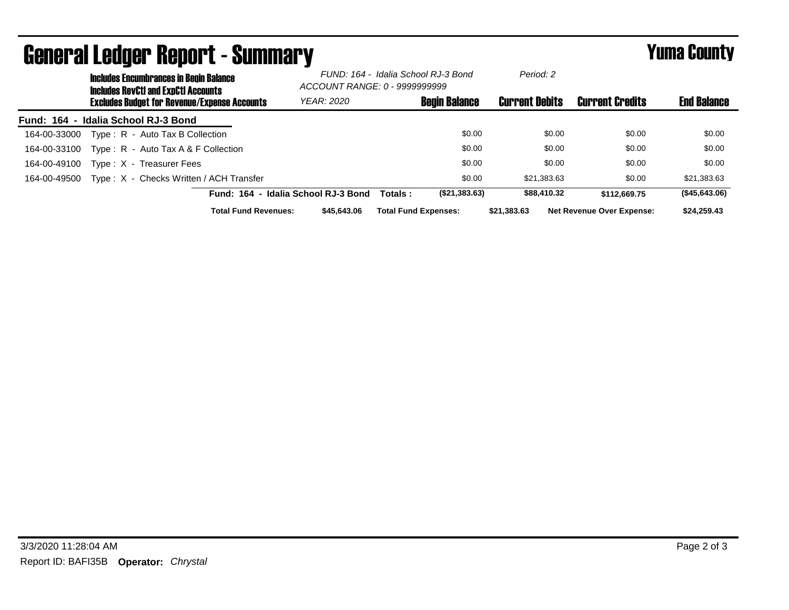| <b>General Ledger Report - Summary</b> |                                                                                             |                                                     |                                     |                                                                      | <b>Yuma County</b>   |                       |                                  |                    |
|----------------------------------------|---------------------------------------------------------------------------------------------|-----------------------------------------------------|-------------------------------------|----------------------------------------------------------------------|----------------------|-----------------------|----------------------------------|--------------------|
|                                        | <b>Includes Encumbrances in Begin Balance</b><br><b>Includes RevCtI and ExpCtI Accounts</b> |                                                     |                                     | FUND: 164 - Idalia School RJ-3 Bond<br>ACCOUNT RANGE: 0 - 9999999999 |                      | Period: 2             |                                  |                    |
|                                        |                                                                                             | <b>Excludes Budget for Revenue/Expense Accounts</b> | YEAR: 2020                          |                                                                      | <b>Begin Balance</b> | <b>Current Debits</b> | <b>Current Credits</b>           | <b>End Balance</b> |
| Fund: 164 - Idalia School RJ-3 Bond    |                                                                                             |                                                     |                                     |                                                                      |                      |                       |                                  |                    |
| 164-00-33000                           |                                                                                             | Type: R - Auto Tax B Collection                     |                                     |                                                                      | \$0.00               | \$0.00                | \$0.00                           | \$0.00             |
| 164-00-33100                           |                                                                                             | Type: R - Auto Tax A & F Collection                 |                                     |                                                                      | \$0.00               | \$0.00                | \$0.00                           | \$0.00             |
| 164-00-49100                           | Type: X - Treasurer Fees                                                                    |                                                     |                                     |                                                                      | \$0.00               | \$0.00                | \$0.00                           | \$0.00             |
| 164-00-49500                           |                                                                                             | Type: X - Checks Written / ACH Transfer             |                                     |                                                                      | \$0.00               | \$21,383.63           | \$0.00                           | \$21,383.63        |
|                                        |                                                                                             |                                                     | Fund: 164 - Idalia School RJ-3 Bond | Totals:                                                              | (\$21,383.63)        | \$88,410.32           | \$112,669.75                     | (\$45,643.06)      |
|                                        |                                                                                             | <b>Total Fund Revenues:</b>                         | \$45,643.06                         | <b>Total Fund Expenses:</b>                                          |                      | \$21,383.63           | <b>Net Revenue Over Expense:</b> | \$24,259.43        |